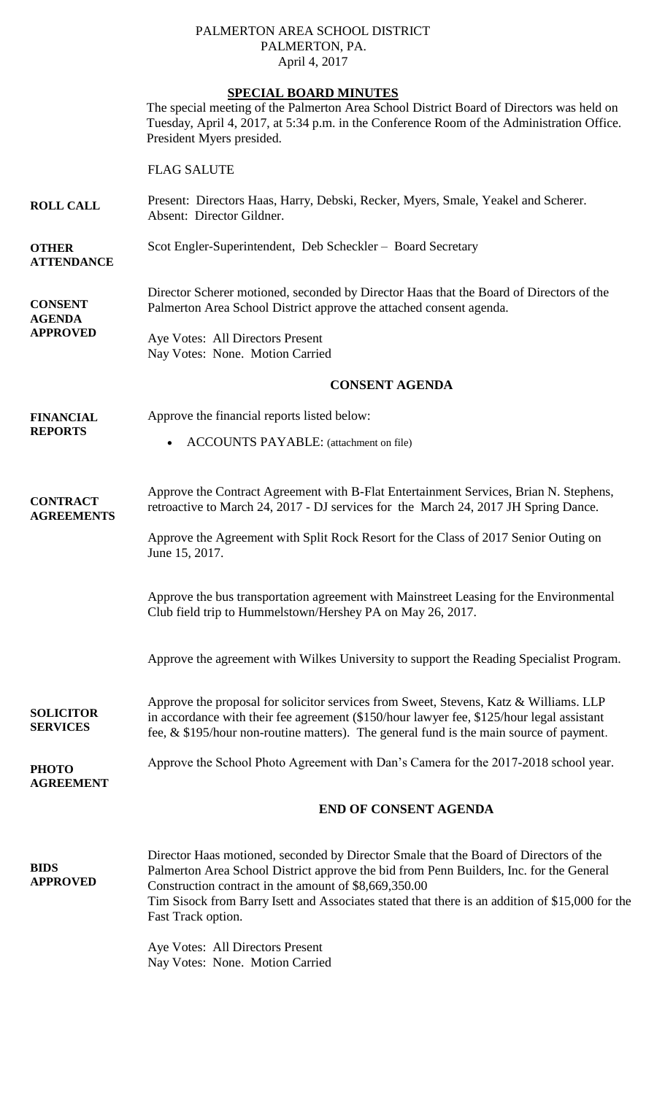### PALMERTON AREA SCHOOL DISTRICT PALMERTON, PA. April 4, 2017

## **SPECIAL BOARD MINUTES**

The special meeting of the Palmerton Area School District Board of Directors was held on Tuesday, April 4, 2017, at 5:34 p.m. in the Conference Room of the Administration Office. President Myers presided.

# FLAG SALUTE

- **ROLL CALL** Present: Directors Haas, Harry, Debski, Recker, Myers, Smale, Yeakel and Scherer. Absent: Director Gildner.
- **OTHER** Scot Engler-Superintendent, Deb Scheckler – Board Secretary

**CONSENT AGENDA** Director Scherer motioned, seconded by Director Haas that the Board of Directors of the Palmerton Area School District approve the attached consent agenda.

#### **APPROVED** Aye Votes: All Directors Present Nay Votes: None. Motion Carried

## **CONSENT AGENDA**

**FINANCIAL REPORTS**

**ATTENDANCE**

Approve the financial reports listed below:

ACCOUNTS PAYABLE: (attachment on file)

**CONTRACT AGREEMENTS** Approve the Contract Agreement with B-Flat Entertainment Services, Brian N. Stephens, retroactive to March 24, 2017 - DJ services for the March 24, 2017 JH Spring Dance.

> Approve the Agreement with Split Rock Resort for the Class of 2017 Senior Outing on June 15, 2017.

Approve the bus transportation agreement with Mainstreet Leasing for the Environmental Club field trip to Hummelstown/Hershey PA on May 26, 2017.

Approve the agreement with Wilkes University to support the Reading Specialist Program.

**SOLICITOR SERVICES** Approve the proposal for solicitor services from Sweet, Stevens, Katz & Williams. LLP in accordance with their fee agreement (\$150/hour lawyer fee, \$125/hour legal assistant fee, & \$195/hour non-routine matters). The general fund is the main source of payment.

**PHOTO AGREEMENT** Approve the School Photo Agreement with Dan's Camera for the 2017-2018 school year.

**END OF CONSENT AGENDA**

**BIDS APPROVED** Director Haas motioned, seconded by Director Smale that the Board of Directors of the Palmerton Area School District approve the bid from Penn Builders, Inc. for the General Construction contract in the amount of \$8,669,350.00 Tim Sisock from Barry Isett and Associates stated that there is an addition of \$15,000 for the Fast Track option.

> Aye Votes: All Directors Present Nay Votes: None. Motion Carried